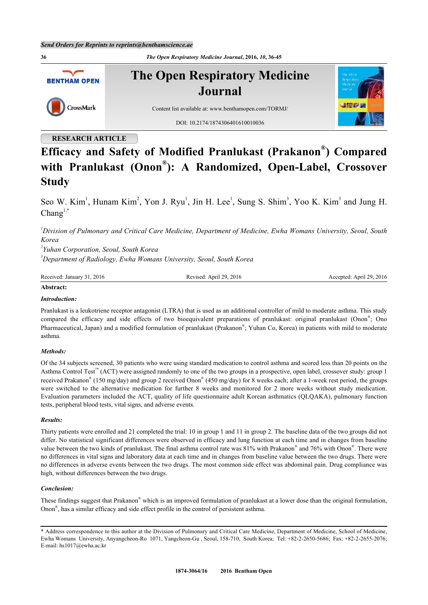**36** *The Open Respiratory Medicine Journal***, 2016,** *10***, 36-45 The Open Respiratory Medicine BENTHAM OPEN Journal** CrossMark Content list available at: [www.benthamopen.com/TORMJ/](http://www.benthamopen.com/TORMJ/) DOI: [10.2174/1874306401610010036](http://dx.doi.org/10.2174/1874306401610010036)

# **RESEARCH ARTICLE**

# **Efficacy and Safety of Modified Pranlukast (Prakanon® ) Compared with Pranlukast (Onon® ): A Randomized, Open-Label, Crossover Study**

Seo W. Kim<sup>[1](#page-0-0)</sup>, Hunam Kim<sup>[2](#page-0-1)</sup>, Yon J. Ryu<sup>1</sup>, Jin H. Lee<sup>1</sup>, Sung S. Shim<sup>[3](#page-0-2)</sup>, Yoo K. Kim<sup>3</sup> and Jung H.  $Chang^{1,*}$  $Chang^{1,*}$  $Chang^{1,*}$  $Chang^{1,*}$  $Chang^{1,*}$ 

<span id="page-0-0"></span>*<sup>1</sup>Division of Pulmonary and Critical Care Medicine, Department of Medicine, Ewha Womans University, Seoul, South Korea*

<span id="page-0-2"></span><span id="page-0-1"></span>*2 Yuhan Corporation, Seoul, South Korea <sup>3</sup>Department of Radiology, Ewha Womans University, Seoul, South Korea*

| Received<br>2016<br>January<br>3 L | 2016<br>ാവ<br>April 2<br>$. eV1$ se $c$ | 2016<br>່າງ<br>∴ Anril ∠<br>Accepted.<br>AC |
|------------------------------------|-----------------------------------------|---------------------------------------------|
|------------------------------------|-----------------------------------------|---------------------------------------------|

## **Abstract:**

## *Introduction:*

Pranlukast is a leukotriene receptor antagonist (LTRA) that is used as an additional controller of mild to moderate asthma. This study compared the efficacy and side effects of two bioequivalent preparations of pranlukast: original pranlukast (Onon<sup>®</sup>; Ono Pharmaceutical, Japan) and a modified formulation of pranlukast (Prakanon®; Yuhan Co, Korea) in patients with mild to moderate asthma.

#### *Methods:*

Of the 34 subjects screened, 30 patients who were using standard medication to control asthma and scored less than 20 points on the Asthma Control Test™ (ACT) were assigned randomly to one of the two groups in a prospective, open label, crossover study: group 1 received Prakanon® (150 mg/day) and group 2 received Onon® (450 mg/day) for 8 weeks each; after a 1-week rest period, the groups were switched to the alternative medication for further 8 weeks and monitored for 2 more weeks without study medication. Evaluation parameters included the ACT, quality of life questionnaire adult Korean asthmatics (QLQAKA), pulmonary function tests, peripheral blood tests, vital signs, and adverse events.

#### *Results:*

Thirty patients were enrolled and 21 completed the trial: 10 in group 1 and 11 in group 2. The baseline data of the two groups did not differ. No statistical significant differences were observed in efficacy and lung function at each time and in changes from baseline value between the two kinds of pranlukast. The final asthma control rate was 81% with Prakanon® and 76% with Onon®. There were no differences in vital signs and laboratory data at each time and in changes from baseline value between the two drugs. There were no differences in adverse events between the two drugs. The most common side effect was abdominal pain. Drug compliance was high, without differences between the two drugs.

#### *Conclusion:*

These findings suggest that Prakanon® which is an improved formulation of pranlukast at a lower dose than the original formulation, Onon® , has a similar efficacy and side effect profile in the control of persistent asthma.

<span id="page-0-3"></span><sup>\*</sup> Address correspondence to this author at the Division of Pulmonary and Critical Care Medicine, Department of Medicine, School of Medicine, Ewha Womans University, Anyangcheon-Ro 1071, Yangcheon-Gu , Seoul, 158-710, South Korea; Tel: +82-2-2650-5686; Fax: +82-2-2655-2076; E-mail: [hs1017@ewha.ac.kr](mailto:hs1017@ewha.ac.kr)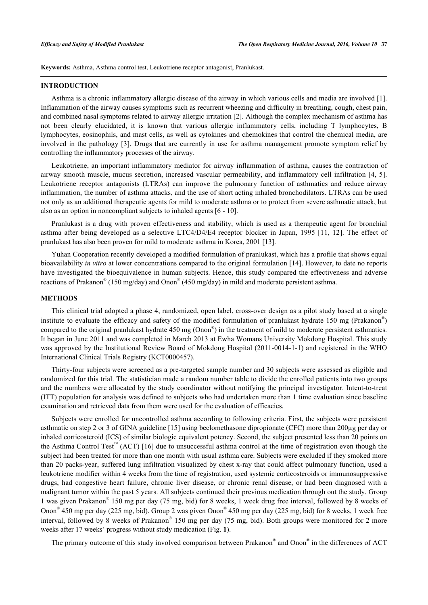**Keywords:** Asthma, Asthma control test, Leukotriene receptor antagonist, Pranlukast.

#### **INTRODUCTION**

Asthma is a chronic inflammatory allergic disease of the airway in which various cells and media are involved [[1\]](#page-8-0). Inflammation of the airway causes symptoms such as recurrent wheezing and difficulty in breathing, cough, chest pain, and combined nasal symptoms related to airway allergic irritation [\[2](#page-8-1)]. Although the complex mechanism of asthma has not been clearly elucidated, it is known that various allergic inflammatory cells, including T lymphocytes, B lymphocytes, eosinophils, and mast cells, as well as cytokines and chemokines that control the chemical media, are involved in the pathology [[3\]](#page-8-2). Drugs that are currently in use for asthma management promote symptom relief by controlling the inflammatory processes of the airway.

Leukotriene, an important inflammatory mediator for airway inflammation of asthma, causes the contraction of airway smooth muscle, mucus secretion, increased vascular permeability, and inflammatory cell infiltration [[4](#page-8-3), [5\]](#page-8-4). Leukotriene receptor antagonists (LTRAs) can improve the pulmonary function of asthmatics and reduce airway inflammation, the number of asthma attacks, and the use of short acting inhaled bronchodilators. LTRAs can be used not only as an additional therapeutic agents for mild to moderate asthma or to protect from severe asthmatic attack, but also as an option in noncompliant subjects to inhaled agents [\[6](#page-8-5) - [10\]](#page-8-6).

Pranlukast is a drug with proven effectiveness and stability, which is used as a therapeutic agent for bronchial asthma after being developed as a selective LTC4/D4/E4 receptor blocker in Japan, 1995[[11](#page-8-7), [12\]](#page-8-8). The effect of pranlukast has also been proven for mild to moderate asthma in Korea, 2001 [\[13](#page-8-9)].

Yuhan Cooperation recently developed a modified formulation of pranlukast, which has a profile that shows equal bioavailability *in vitro* at lower concentrations compared to the original formulation [[14](#page-8-10)]. However, to date no reports have investigated the bioequivalence in human subjects. Hence, this study compared the effectiveness and adverse reactions of Prakanon<sup>®</sup> (150 mg/day) and Onon<sup>®</sup> (450 mg/day) in mild and moderate persistent asthma.

## **METHODS**

This clinical trial adopted a phase 4, randomized, open label, cross-over design as a pilot study based at a single institute to evaluate the efficacy and safety of the modified formulation of pranlukast hydrate 150 mg (Prakanon® ) compared to the original pranlukast hydrate  $450 \text{ mg (Onon}^{\circ})$  in the treatment of mild to moderate persistent asthmatics. It began in June 2011 and was completed in March 2013 at Ewha Womans University Mokdong Hospital. This study was approved by the Institutional Review Board of Mokdong Hospital (2011-0014-1-1) and registered in the WHO International Clinical Trials Registry (KCT0000457).

Thirty-four subjects were screened as a pre-targeted sample number and 30 subjects were assessed as eligible and randomized for this trial. The statistician made a random number table to divide the enrolled patients into two groups and the numbers were allocated by the study coordinator without notifying the principal investigator. Intent-to-treat (ITT) population for analysis was defined to subjects who had undertaken more than 1 time evaluation since baseline examination and retrieved data from them were used for the evaluation of efficacies.

Subjects were enrolled for uncontrolled asthma according to following criteria. First, the subjects were persistent asthmatic on step 2 or 3 of GINA guideline [\[15](#page-8-11)] using beclomethasone dipropionate (CFC) more than 200µg per day or inhaled corticosteroid (ICS) of similar biologic equivalent potency. Second, the subject presented less than 20 points on the Asthma Control Test<sup>™</sup> (ACT) [\[16\]](#page-8-12) due to unsuccessful asthma control at the time of registration even though the subject had been treated for more than one month with usual asthma care. Subjects were excluded if they smoked more than 20 packs-year, suffered lung infiltration visualized by chest x-ray that could affect pulmonary function, used a leukotriene modifier within 4 weeks from the time of registration, used systemic corticosteroids or immunosuppressive drugs, had congestive heart failure, chronic liver disease, or chronic renal disease, or had been diagnosed with a malignant tumor within the past 5 years. All subjects continued their previous medication through out the study. Group 1 was given Prakanon® 150 mg per day (75 mg, bid) for 8 weeks, 1 week drug free interval, followed by 8 weeks of Onon<sup>®</sup> 450 mg per day (225 mg, bid). Group 2 was given Onon<sup>®</sup> 450 mg per day (225 mg, bid) for 8 weeks, 1 week free interval, followed by 8 weeks of Prakanon® 150 mg per day (75 mg, bid). Both groups were monitored for 2 more weeks after 17 weeks' progress without study medication (Fig. **[1](#page-2-0)**).

The primary outcome of this study involved comparison between Prakanon® and Onon® in the differences of ACT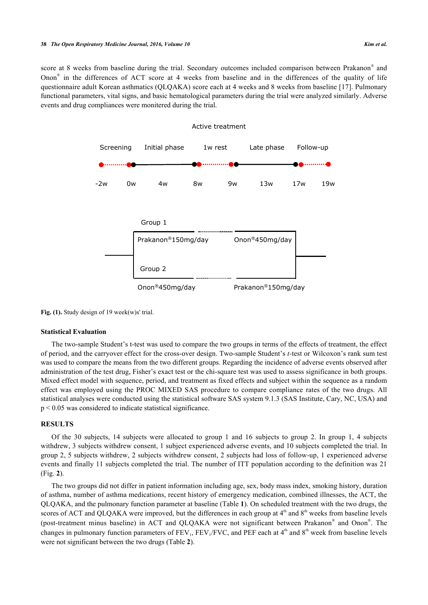<span id="page-2-0"></span>score at 8 weeks from baseline during the trial. Secondary outcomes included comparison between Prakanon® and Onon® in the differences of ACT score at 4 weeks from baseline and in the differences of the quality of life questionnaire adult Korean asthmatics (QLQAKA) score each at 4 weeks and 8 weeks from baseline [\[17](#page-9-0)]. Pulmonary functional parameters, vital signs, and basic hematological parameters during the trial were analyzed similarly. Adverse events and drug compliances were monitered during the trial.



**Fig. (1).** Study design of 19 week(w)s' trial.

#### **Statistical Evaluation**

The two-sample Student's t-test was used to compare the two groups in terms of the effects of treatment, the effect of period, and the carryover effect for the cross-over design. Two-sample Student's *t-*test or Wilcoxon's rank sum test was used to compare the means from the two different groups. Regarding the incidence of adverse events observed after administration of the test drug, Fisher's exact test or the chi-square test was used to assess significance in both groups. Mixed effect model with sequence, period, and treatment as fixed effects and subject within the sequence as a random effect was employed using the PROC MIXED SAS procedure to compare compliance rates of the two drugs. All statistical analyses were conducted using the statistical software SAS system 9.1.3 (SAS Institute, Cary, NC, USA) and p < 0.05 was considered to indicate statistical significance.

## **RESULTS**

Of the 30 subjects, 14 subjects were allocated to group 1 and 16 subjects to group 2. In group 1, 4 subjects withdrew, 3 subjects withdrew consent, 1 subject experienced adverse events, and 10 subjects completed the trial. In group 2, 5 subjects withdrew, 2 subjects withdrew consent, 2 subjects had loss of follow-up, 1 experienced adverse events and finally 11 subjects completed the trial. The number of ITT population according to the definition was 21 (Fig. **[2](#page-4-0)**).

The two groups did not differ in patient information including age, sex, body mass index, smoking history, duration of asthma, number of asthma medications, recent history of emergency medication, combined illnesses, the ACT, the QLQAKA, and the pulmonary function parameter at baseline (Table **[1](#page-3-0)**). On scheduled treatment with the two drugs, the scores of ACT and QLQAKA were improved, but the differences in each group at  $4<sup>th</sup>$  and  $8<sup>th</sup>$  weeks from baseline levels (post-treatment minus baseline) in ACT and QLQAKA were not significant between Prakanon® and Onon®. The changes in pulmonary function parameters of  $FEV_1$ ,  $FEV_1/FVC$ , and  $PEF$  each at  $4<sup>th</sup>$  and  $8<sup>th</sup>$  week from baseline levels were not significant between the two drugs (Table **[2](#page-3-1)**).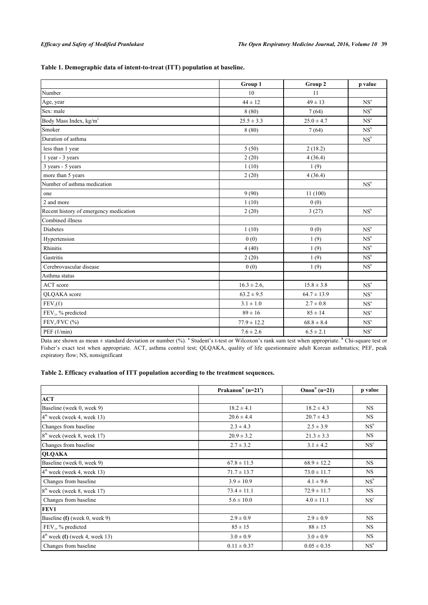## <span id="page-3-0"></span>**Table 1. Demographic data of intent-to-treat (ITT) population at baseline.**

|                                        | Group 1          | Group 2         | p value                    |
|----------------------------------------|------------------|-----------------|----------------------------|
| Number                                 | 10               | 11              |                            |
| Age, year                              | $44 \pm 12$      | $49 \pm 13$     | NS <sup>a</sup>            |
| Sex: male                              | 8(80)            | 7(64)           | $NS^b$                     |
| Body Mass Index, kg/m <sup>2</sup>     | $25.5 \pm 3.3$   | $25.0 \pm 4.7$  | NS <sup>a</sup>            |
| Smoker                                 | 8(80)            | 7(64)           | $\mathrm{NS}^{\mathrm{b}}$ |
| Duration of asthma                     |                  |                 | NS <sup>b</sup>            |
| less than 1 year                       | 5(50)            | 2(18.2)         |                            |
| 1 year - 3 years                       | 2(20)            | 4(36.4)         |                            |
| 3 years - 5 years                      | 1(10)            | 1(9)            |                            |
| more than 5 years                      | 2(20)            | 4(36.4)         |                            |
| Number of asthma medication            |                  |                 | $NS^b$                     |
| one                                    | 9(90)            | 11(100)         |                            |
| 2 and more                             | 1(10)            | 0(0)            |                            |
| Recent history of emergency medication | 2(20)            | 3(27)           | NS <sup>b</sup>            |
| Combined illness                       |                  |                 |                            |
| <b>Diabetes</b>                        | 1(10)            | 0(0)            | NS <sup>b</sup>            |
| Hypertension                           | 0(0)             | 1(9)            | NS <sup>b</sup>            |
| Rhinitis                               | 4(40)            | 1(9)            | NS <sup>b</sup>            |
| Gastritis                              | 2(20)            | 1(9)            | NS <sup>b</sup>            |
| Cerebrovascular disease                | 0(0)             | 1(9)            | NS <sup>b</sup>            |
| Asthma status                          |                  |                 |                            |
| ACT score                              | $16.3 \pm 2.6$ , | $15.8 \pm 3.8$  | NS <sup>a</sup>            |
| QLQAKA score                           | $63.2 \pm 9.5$   | $64.7 \pm 13.9$ | NS <sup>a</sup>            |
| $FEV_1(\ell)$                          | $3.1 \pm 1.0$    | $2.7 \pm 0.8$   | $\mathbf{NS}^{\text{a}}$   |
| FEV1, % predicted                      | $89 \pm 16$      | $85 \pm 14$     | NS <sup>a</sup>            |
| $FEV1/FVC$ (%)                         | $77.9 \pm 12.2$  | $68.8 \pm 8.4$  | $\mathbf{NS}^{\text{a}}$   |
| PEF $(\ell/min)$                       | $7.6 \pm 2.6$    | $6.5 \pm 2.1$   | NS <sup>a</sup>            |

Data are shown as mean  $\pm$  standard deviation or number (%). <sup>a</sup> Student's t-test or Wilcoxon's rank sum test when appropriate. <sup>b</sup> Chi-square test or Fisher's exact test when appropriate. ACT, asthma control test; QLQAKA, quality of life questionnaire adult Korean asthmatics; PEF, peak expiratory flow; NS, nonsignificant

## <span id="page-3-1"></span>**Table 2. Efficacy evaluation of ITT population according to the treatment sequences.**

|                                                   | Prakanon <sup>®</sup> (n=21 <sup>a</sup> ) | Onon <sup>®</sup> (n=21) | p value         |
|---------------------------------------------------|--------------------------------------------|--------------------------|-----------------|
| <b>ACT</b>                                        |                                            |                          |                 |
| Baseline (week 0, week 9)                         | $18.2 \pm 4.1$                             | $18.2 \pm 4.3$           | NS.             |
| $4th$ week (week 4, week 13)                      | $20.6 \pm 4.4$                             | $20.7 \pm 4.3$           | <b>NS</b>       |
| Changes from baseline                             | $2.3 \pm 4.3$                              | $2.5 \pm 3.9$            | NS <sup>b</sup> |
| $8th$ week (week 8, week 17)                      | $20.9 \pm 3.2$                             | $21.3 \pm 3.3$           | <b>NS</b>       |
| Changes from baseline                             | $2.7 \pm 3.2$                              | $3.1 \pm 4.2$            | NS <sup>c</sup> |
| <b>QLQAKA</b>                                     |                                            |                          |                 |
| Baseline (week 0, week 9)                         | $67.8 \pm 11.5$                            | $68.9 \pm 12.2$          | <b>NS</b>       |
| $4th$ week (week 4, week 13)                      | $71.7 \pm 13.7$                            | $73.0 \pm 11.7$          | <b>NS</b>       |
| Changes from baseline                             | $3.9 \pm 10.9$                             | $4.1 \pm 9.6$            | $NS^b$          |
| $8th$ week (week 8, week 17)                      | $73.4 \pm 11.1$                            | $72.9 \pm 11.7$          | <b>NS</b>       |
| Changes from baseline                             | $5.6 \pm 10.0$                             | $4.0 \pm 11.1$           | NS <sup>c</sup> |
| FEV1                                              |                                            |                          |                 |
| Baseline $(l)$ (week 0, week 9)                   | $2.9 \pm 0.9$                              | $2.9 \pm 0.9$            | <b>NS</b>       |
| $FEV1$ , % predicted                              | $85 \pm 15$                                | $88 \pm 15$              | NS.             |
| $4^{\text{th}}$ week ( $\ell$ ) (week 4, week 13) | $3.0 \pm 0.9$                              | $3.0 \pm 0.9$            | <b>NS</b>       |
| Changes from baseline                             | $0.11 \pm 0.37$                            | $0.05 \pm 0.35$          | NS <sup>b</sup> |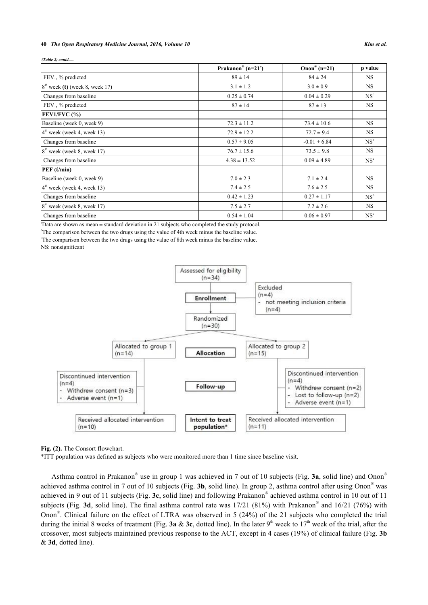#### **40** *The Open Respiratory Medicine Journal, 2016, Volume 10 Kim et al.*

| $(Table 2)$ contd                       |                                            |                          |                 |
|-----------------------------------------|--------------------------------------------|--------------------------|-----------------|
|                                         | Prakanon <sup>®</sup> (n=21 <sup>a</sup> ) | Onon <sup>®</sup> (n=21) | p value         |
| $FEV1$ , % predicted                    | $89 \pm 14$                                | $84 \pm 24$              | NS.             |
| $8th$ week ( $\ell$ ) (week 8, week 17) | $3.1 \pm 1.2$                              | $3.0 \pm 0.9$            | <b>NS</b>       |
| Changes from baseline                   | $0.25 \pm 0.74$                            | $0.04 \pm 0.29$          | NS <sup>c</sup> |
| $FEV1$ , % predicted                    | $87 \pm 14$                                | $87 \pm 13$              | NS.             |
| $FEV1/FVC$ $(*)$                        |                                            |                          |                 |
| Baseline (week 0, week 9)               | $72.3 \pm 11.2$                            | $73.4 \pm 10.6$          | NS.             |
| $4th$ week (week 4, week 13)            | $72.9 \pm 12.2$                            | $72.7 \pm 9.4$           | NS.             |
| Changes from baseline                   | $0.57 \pm 9.05$                            | $-0.01 \pm 6.84$         | $NS^b$          |
| $8th$ week (week 8, week 17)            | $76.7 \pm 15.6$                            | $73.5 \pm 9.8$           | <b>NS</b>       |
| Changes from baseline                   | $4.38 \pm 13.52$                           | $0.09 \pm 4.89$          | NS <sup>c</sup> |
| $PEF$ ( $\ell$ /min)                    |                                            |                          |                 |
| Baseline (week 0, week 9)               | $7.0 \pm 2.3$                              | $7.1 \pm 2.4$            | NS.             |
| $4th$ week (week 4, week 13)            | $7.4 \pm 2.5$                              | $7.6 \pm 2.5$            | NS.             |
| Changes from baseline                   | $0.42 \pm 1.23$                            | $0.27 \pm 1.17$          | $NS^b$          |
| $8th$ week (week 8, week 17)            | $7.5 \pm 2.7$                              | $7.2 \pm 2.6$            | NS.             |
| Changes from baseline                   | $0.54 \pm 1.04$                            | $0.06 \pm 0.97$          | NS <sup>c</sup> |

 $a<sup>a</sup>$ Data are shown as mean  $\pm$  standard deviation in 21 subjects who completed the study protocol.

<sup>b</sup>The comparison between the two drugs using the value of 4th week minus the baseline value.

<sup>e</sup>The comparison between the two drugs using the value of 8th week minus the baseline value.

<span id="page-4-0"></span>NS: nonsignificant



**Fig. (2).** The Consort flowchart.

\*ITT population was defined as subjects who were monitored more than 1 time since baseline visit.

<span id="page-4-1"></span>Asthma control in Prakanon® use in group 1 was achieved in 7 out of 10 subjects (Fig. **[3a](#page-4-1)**, solid line) and Onon® achieved asthma control in 7 out of 10 subjects (Fig. **[3b](#page-4-1)**, solid line). In group 2, asthma control after using Onon® was achieved in 9 out of 11 subjects (Fig. **[3c](#page-4-1)**, solid line) and following Prakanon® achieved asthma control in 10 out of 11 subjects (Fig. [3d](#page-4-1), solid line). The final asthma control rate was 17/21 (81%) with Prakanon<sup>®</sup> and 16/21 (76%) with Onon® . Clinical failure on the effect of LTRA was observed in 5 (24%) of the 21 subjects who completed the trial during the initial 8 weeks of treatment (Fig. **[3a](#page-4-1)**  $\&$  **[3c](#page-4-1)**, dotted line). In the later 9<sup>th</sup> week to 17<sup>th</sup> week of the trial, after the crossover, most subjects maintained previous response to the ACT, except in 4 cases (19%) of clinical failure (Fig. **[3b](#page-4-1)** & **[3d](#page-4-1)**, dotted line).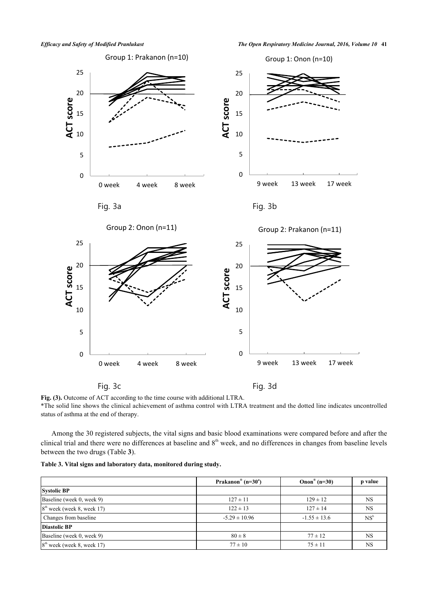*Efficacy and Safety of Modified Pranlukast The Open Respiratory Medicine Journal, 2016, Volume 10* **41**



**Fig. (3).** Outcome of ACT according to the time course with additional LTRA.

\*The solid line shows the clinical achievement of asthma control with LTRA treatment and the dotted line indicates uncontrolled status of asthma at the end of therapy.

Among the 30 registered subjects, the vital signs and basic blood examinations were compared before and after the clinical trial and there were no differences at baseline and  $8<sup>th</sup>$  week, and no differences in changes from baseline levels between the two drugs (Table **[3](#page-5-0)**).

<span id="page-5-0"></span>

|  |  |  |  |  | Table 3. Vital signs and laboratory data, monitored during study. |  |  |
|--|--|--|--|--|-------------------------------------------------------------------|--|--|
|--|--|--|--|--|-------------------------------------------------------------------|--|--|

|                              | Prakanon <sup>®</sup> (n=30 <sup>a</sup> ) | Onon <sup>®</sup> (n=30) | p value   |
|------------------------------|--------------------------------------------|--------------------------|-----------|
| <b>Systolic BP</b>           |                                            |                          |           |
| Baseline (week 0, week 9)    | $127 \pm 11$                               | $129 \pm 12$             | <b>NS</b> |
| $8th$ week (week 8, week 17) | $122 \pm 13$                               | $127 \pm 14$             | <b>NS</b> |
| Changes from baseline        | $-5.29 \pm 10.96$                          | $-1.55 \pm 13.6$         | $NS^b$    |
| <b>Diastolic BP</b>          |                                            |                          |           |
| Baseline (week 0, week 9)    | $80 \pm 8$                                 | $77 \pm 12$              | NS        |
| $8th$ week (week 8, week 17) | $77 \pm 10$                                | $75 \pm 11$              | <b>NS</b> |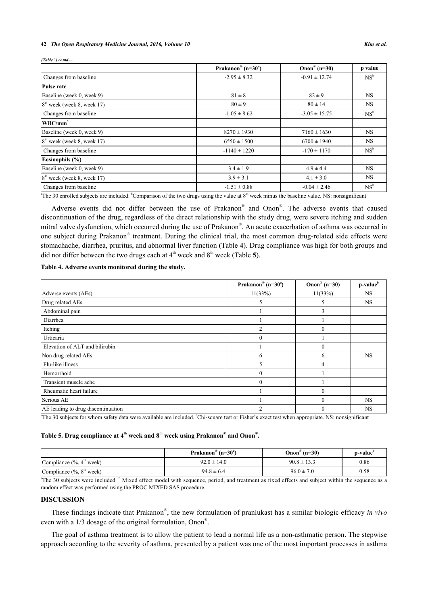#### **42** *The Open Respiratory Medicine Journal, 2016, Volume 10 Kim et al.*

| (Table 5) contd              |                      |                          |         |
|------------------------------|----------------------|--------------------------|---------|
|                              | Prakanon® $(n=30^a)$ | Onon <sup>®</sup> (n=30) | p value |
| Changes from baseline        | $-2.95 \pm 8.32$     | $-0.91 \pm 12.74$        | $NS^b$  |
| Pulse rate                   |                      |                          |         |
| Baseline (week 0, week 9)    | $81 \pm 8$           | $82 \pm 9$               | NS.     |
| $8th$ week (week 8, week 17) | $80 \pm 9$           | $80 \pm 14$              | NS.     |
| Changes from baseline        | $-1.05 \pm 8.62$     | $-3.05 \pm 15.75$        | $NS^b$  |
| $WBC/mm^3$                   |                      |                          |         |
| Baseline (week 0, week 9)    | $8270 \pm 1930$      | $7160 \pm 1630$          | NS.     |
| $8th$ week (week 8, week 17) | $6550 \pm 1500$      | $6700 \pm 1940$          | NS.     |
| Changes from baseline        | $-1140 \pm 1220$     | $-170 \pm 1170$          | $NS^b$  |
| Eosinophils (%)              |                      |                          |         |
| Baseline (week 0, week 9)    | $3.4 \pm 1.9$        | $4.9 \pm 4.4$            | NS.     |
| $8th$ week (week 8, week 17) | $3.9 \pm 3.1$        | $4.1 \pm 3.0$            | NS.     |
| Changes from baseline        | $-1.51 \pm 0.88$     | $-0.04 \pm 2.46$         | $NS^b$  |

<sup>a</sup>The 30 enrolled subjects are included. <sup>b</sup>Comparison of the two drugs using the value at  $8<sup>th</sup>$  week minus the baseline value. NS: nonsignificant

Adverse events did not differ between the use of Prakanon® and Onon® . The adverse events that caused discontinuation of the drug, regardless of the direct relationship with the study drug, were severe itching and sudden mitral valve dysfunction, which occurred during the use of Prakanon® . An acute exacerbation of asthma was occurred in one subject during Prakanon® treatment. During the clinical trial, the most common drug-related side effects were stomachache, diarrhea, pruritus, and abnormal liver function (Table **[4](#page-6-0)**). Drug compliance was high for both groups and did not differ between the two drugs each at  $4<sup>th</sup>$  week and  $8<sup>th</sup>$  week (Table [5](#page-6-1)).

<span id="page-6-0"></span>**Table 4. Adverse events monitored during the study.**

|                                    | Prakanon® (n= $30°$ ) | Onon <sup>®</sup> (n=30) | p-value <sup>b</sup> |
|------------------------------------|-----------------------|--------------------------|----------------------|
| Adverse events (AEs)               | 11(33%)               | 11(33%)                  | <b>NS</b>            |
| Drug related AEs                   | 5                     | 5                        | <b>NS</b>            |
| Abdominal pain                     |                       | 3                        |                      |
| Diarrhea                           |                       |                          |                      |
| Itching                            | $\overline{2}$        |                          |                      |
| Urticaria                          | $\theta$              |                          |                      |
| Elevation of ALT and bilirubin     |                       |                          |                      |
| Non drug related AEs               | 6                     | 6                        | <b>NS</b>            |
| Flu-like illness                   | 5                     | 4                        |                      |
| Hemorrhoid                         | $\theta$              |                          |                      |
| Transient muscle ache              | $\theta$              |                          |                      |
| Rheumatic heart failure            |                       | 0                        |                      |
| Serious AE                         |                       |                          | <b>NS</b>            |
| AE leading to drug discontinuation | $\overline{2}$        |                          | <b>NS</b>            |

 ${}^{\circ}$ The 30 subjects for whom safety data were available are included.  ${}^{\circ}$ Chi-square test or Fisher's exact test when appropriate. NS: nonsignificant

## <span id="page-6-1"></span>**Table 5. Drug compliance at 4th week and 8th week using Prakanon® and Onon® .**

|                                          | $^{\circ}$ (n=30 <sup>a</sup> )<br>Prakanon <sup>®</sup> | Onon <sup>®</sup> (n=30) | -b-value |
|------------------------------------------|----------------------------------------------------------|--------------------------|----------|
| Compliance $(\%$ , $4^{\text{th}}$ week) | $92.0 \pm 14.0$                                          | $90.8 \pm 13.3$          | 0.86     |
| Compliance $(\%$ , $8^{\text{th}}$ week) | $94.8 \pm 6.4$                                           | $96.0 \pm 7.0$           | 0.58     |

<sup>a</sup>The 30 subjects were included. <sup>b</sup> Mixed effect model with sequence, period, and treatment as fixed effects and subject within the sequence as a random effect was performed using the PROC MIXED SAS procedure.

## **DISCUSSION**

These findings indicate that Prakanon® , the new formulation of pranlukast has a similar biologic efficacy *in vivo* even with a 1/3 dosage of the original formulation, Onon® .

The goal of asthma treatment is to allow the patient to lead a normal life as a non-asthmatic person. The stepwise approach according to the severity of asthma, presented by a patient was one of the most important processes in asthma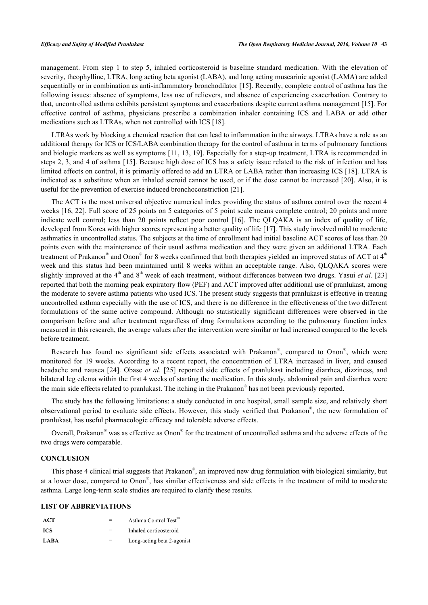management. From step 1 to step 5, inhaled corticosteroid is baseline standard medication. With the elevation of severity, theophylline, LTRA, long acting beta agonist (LABA), and long acting muscarinic agonist (LAMA) are added sequentially or in combination as anti-inflammatory bronchodilator [\[15\]](#page-8-11). Recently, complete control of asthma has the following issues: absence of symptoms, less use of relievers, and absence of experiencing exacerbation. Contrary to that, uncontrolled asthma exhibits persistent symptoms and exacerbations despite current asthma management [\[15](#page-8-11)]. For effective control of asthma, physicians prescribe a combination inhaler containing ICS and LABA or add other medications such as LTRAs, when not controlled with ICS [\[18](#page-9-1)].

LTRAs work by blocking a chemical reaction that can lead to inflammation in the airways. LTRAs have a role as an additional therapy for ICS or ICS/LABA combination therapy for the control of asthma in terms of pulmonary functions and biologic markers as well as symptoms [[11](#page-8-7), [13,](#page-8-9) [19](#page-9-2)]. Especially for a step-up treatment, LTRA is recommended in steps 2, 3, and 4 of asthma [[15\]](#page-8-11). Because high dose of ICS has a safety issue related to the risk of infection and has limited effects on control, it is primarily offered to add an LTRA or LABA rather than increasing ICS [\[18\]](#page-9-1). LTRA is indicated as a substitute when an inhaled steroid cannot be used, or if the dose cannot be increased [[20](#page-9-3)]. Also, it is useful for the prevention of exercise induced bronchoconstriction [[21\]](#page-9-4).

The ACT is the most universal objective numerical index providing the status of asthma control over the recent 4 weeks [[16,](#page-8-12) [22\]](#page-9-5). Full score of 25 points on 5 categories of 5 point scale means complete control; 20 points and more indicate well control; less than 20 points reflect poor control[[16\]](#page-8-12). The QLQAKA is an index of quality of life, developed from Korea with higher scores representing a better quality of life [[17\]](#page-9-0). This study involved mild to moderate asthmatics in uncontrolled status. The subjects at the time of enrollment had initial baseline ACT scores of less than 20 points even with the maintenance of their usual asthma medication and they were given an additional LTRA. Each treatment of Prakanon® and Onon® for 8 weeks confirmed that both therapies yielded an improved status of ACT at 4<sup>th</sup> week and this status had been maintained until 8 weeks within an acceptable range. Also, QLQAKA scores were slightly improved at the  $4<sup>th</sup>$  and  $8<sup>th</sup>$  week of each treatment, without differences between two drugs. Yasui *et al.* [[23](#page-9-6)] reported that both the morning peak expiratory flow (PEF) and ACT improved after additional use of pranlukast, among the moderate to severe asthma patients who used ICS. The present study suggests that pranlukast is effective in treating uncontrolled asthma especially with the use of ICS, and there is no difference in the effectiveness of the two different formulations of the same active compound. Although no statistically significant differences were observed in the comparison before and after treatment regardless of drug formulations according to the pulmonary function index measured in this research, the average values after the intervention were similar or had increased compared to the levels before treatment.

Research has found no significant side effects associated with Prakanon®, compared to Onon®, which were monitored for 19 weeks. According to a recent report, the concentration of LTRA increased in liver, and caused headache and nausea [\[24\]](#page-9-7). Obase *et al*.[[25](#page-9-8)] reported side effects of pranlukast including diarrhea, dizziness, and bilateral leg edema within the first 4 weeks of starting the medication. In this study, abdominal pain and diarrhea were the main side effects related to pranlukast. The itching in the Prakanon® has not been previously reported.

The study has the following limitations: a study conducted in one hospital, small sample size, and relatively short observational period to evaluate side effects. However, this study verified that Prakanon®, the new formulation of pranlukast, has useful pharmacologic efficacy and tolerable adverse effects.

Overall, Prakanon<sup>®</sup> was as effective as Onon<sup>®</sup> for the treatment of uncontrolled asthma and the adverse effects of the two drugs were comparable.

#### **CONCLUSION**

This phase 4 clinical trial suggests that Prakanon®, an improved new drug formulation with biological similarity, but at a lower dose, compared to Onon® , has similar effectiveness and side effects in the treatment of mild to moderate asthma. Large long-term scale studies are required to clarify these results.

#### **LIST OF ABBREVIATIONS**

| <b>ACT</b>  |     | Asthma Control Test"       |
|-------------|-----|----------------------------|
| ICS.        | $=$ | Inhaled corticosteroid     |
| <b>LABA</b> | $=$ | Long-acting beta 2-agonist |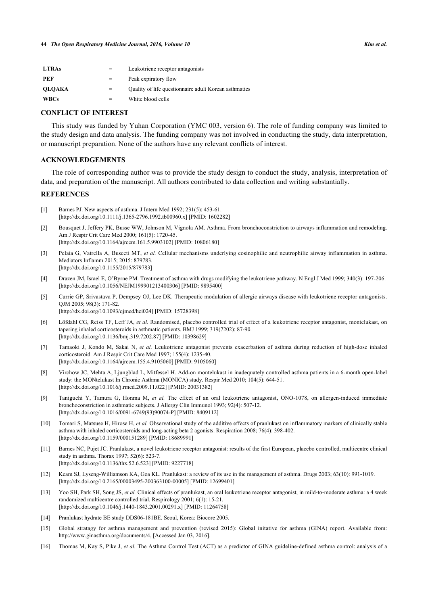| <b>LTRAs</b>  | $=$ | Leukotriene receptor antagonists                      |
|---------------|-----|-------------------------------------------------------|
| PEF           | $=$ | Peak expiratory flow                                  |
| <b>OLOAKA</b> | $=$ | Quality of life questionnaire adult Korean asthmatics |
| <b>WBCs</b>   |     | White blood cells                                     |

#### **CONFLICT OF INTEREST**

This study was funded by Yuhan Corporation (YMC 003, version 6). The role of funding company was limited to the study design and data analysis. The funding company was not involved in conducting the study, data interpretation, or manuscript preparation. None of the authors have any relevant conflicts of interest.

## **ACKNOWLEDGEMENTS**

The role of corresponding author was to provide the study design to conduct the study, analysis, interpretation of data, and preparation of the manuscript. All authors contributed to data collection and writing substantially.

## **REFERENCES**

- <span id="page-8-0"></span>[1] Barnes PJ. New aspects of asthma. J Intern Med 1992; 231(5): 453-61. [\[http://dx.doi.org/10.1111/j.1365-2796.1992.tb00960.x\]](http://dx.doi.org/10.1111/j.1365-2796.1992.tb00960.x) [PMID: [1602282](http://www.ncbi.nlm.nih.gov/pubmed/1602282)]
- <span id="page-8-1"></span>[2] Bousquet J, Jeffery PK, Busse WW, Johnson M, Vignola AM. Asthma. From bronchoconstriction to airways inflammation and remodeling. Am J Respir Crit Care Med 2000; 161(5): 1720-45. [\[http://dx.doi.org/10.1164/ajrccm.161.5.9903102\]](http://dx.doi.org/10.1164/ajrccm.161.5.9903102) [PMID: [10806180](http://www.ncbi.nlm.nih.gov/pubmed/10806180)]
- <span id="page-8-2"></span>[3] Pelaia G, Vatrella A, Busceti MT, *et al.* Cellular mechanisms underlying eosinophilic and neutrophilic airway inflammation in asthma. Mediators Inflamm 2015; 2015: 879783. [\[http://dx.doi.org/10.1155/2015/879783](http://dx.doi.org/10.1155/2015/879783)]
- <span id="page-8-3"></span>[4] Drazen JM, Israel E, O'Byrne PM. Treatment of asthma with drugs modifying the leukotriene pathway. N Engl J Med 1999; 340(3): 197-206. [\[http://dx.doi.org/10.1056/NEJM199901213400306\]](http://dx.doi.org/10.1056/NEJM199901213400306) [PMID: [9895400](http://www.ncbi.nlm.nih.gov/pubmed/9895400)]
- <span id="page-8-4"></span>[5] Currie GP, Srivastava P, Dempsey OJ, Lee DK. Therapeutic modulation of allergic airways disease with leukotriene receptor antagonists. QJM 2005; 98(3): 171-82. [\[http://dx.doi.org/10.1093/qjmed/hci024\]](http://dx.doi.org/10.1093/qjmed/hci024) [PMID: [15728398](http://www.ncbi.nlm.nih.gov/pubmed/15728398)]
- <span id="page-8-5"></span>[6] Löfdahl CG, Reiss TF, Leff JA, *et al.* Randomised, placebo controlled trial of effect of a leukotriene receptor antagonist, montelukast, on tapering inhaled corticosteroids in asthmatic patients. BMJ 1999; 319(7202): 87-90. [\[http://dx.doi.org/10.1136/bmj.319.7202.87](http://dx.doi.org/10.1136/bmj.319.7202.87)] [PMID: [10398629\]](http://www.ncbi.nlm.nih.gov/pubmed/10398629)
- [7] Tamaoki J, Kondo M, Sakai N, *et al.* Leukotriene antagonist prevents exacerbation of asthma during reduction of high-dose inhaled corticosteroid. Am J Respir Crit Care Med 1997; 155(4): 1235-40. [\[http://dx.doi.org/10.1164/ajrccm.155.4.9105060\]](http://dx.doi.org/10.1164/ajrccm.155.4.9105060) [PMID: [9105060](http://www.ncbi.nlm.nih.gov/pubmed/9105060)]
- [8] Virchow JC, Mehta A, Ljungblad L, Mitfessel H. Add-on montelukast in inadequately controlled asthma patients in a 6-month open-label study: the MONtelukast In Chronic Asthma (MONICA) study. Respir Med 2010; 104(5): 644-51. [\[http://dx.doi.org/10.1016/j.rmed.2009.11.022](http://dx.doi.org/10.1016/j.rmed.2009.11.022)] [PMID: [20031382](http://www.ncbi.nlm.nih.gov/pubmed/20031382)]
- [9] Taniguchi Y, Tamura G, Honma M, *et al.* The effect of an oral leukotriene antagonist, ONO-1078, on allergen-induced immediate bronchoconstriction in asthmatic subjects. J Allergy Clin Immunol 1993; 92(4): 507-12. [\[http://dx.doi.org/10.1016/0091-6749\(93\)90074-P\]](http://dx.doi.org/10.1016/0091-6749(93)90074-P) [PMID: [8409112](http://www.ncbi.nlm.nih.gov/pubmed/8409112)]
- <span id="page-8-6"></span>[10] Tomari S, Matsuse H, Hirose H, *et al.* Observational study of the additive effects of pranlukast on inflammatory markers of clinically stable asthma with inhaled corticosteroids and long-acting beta 2 agonists. Respiration 2008; 76(4): 398-402. [\[http://dx.doi.org/10.1159/000151289\]](http://dx.doi.org/10.1159/000151289) [PMID: [18689991](http://www.ncbi.nlm.nih.gov/pubmed/18689991)]
- <span id="page-8-7"></span>[11] Barnes NC, Pujet JC. Pranlukast, a novel leukotriene receptor antagonist: results of the first European, placebo controlled, multicentre clinical study in asthma. Thorax 1997; 52(6): 523-7. [\[http://dx.doi.org/10.1136/thx.52.6.523](http://dx.doi.org/10.1136/thx.52.6.523)] [PMID: [9227718\]](http://www.ncbi.nlm.nih.gov/pubmed/9227718)
- <span id="page-8-8"></span>[12] Keam SJ, Lyseng-Williamson KA, Goa KL. Pranlukast: a review of its use in the management of asthma. Drugs 2003; 63(10): 991-1019. [\[http://dx.doi.org/10.2165/00003495-200363100-00005](http://dx.doi.org/10.2165/00003495-200363100-00005)] [PMID: [12699401\]](http://www.ncbi.nlm.nih.gov/pubmed/12699401)
- <span id="page-8-9"></span>[13] Yoo SH, Park SH, Song JS, *et al.* Clinical effects of pranlukast, an oral leukotriene receptor antagonist, in mild-to-moderate asthma: a 4 week randomized multicentre controlled trial. Respirology 2001; 6(1): 15-21. [\[http://dx.doi.org/10.1046/j.1440-1843.2001.00291.x\]](http://dx.doi.org/10.1046/j.1440-1843.2001.00291.x) [PMID: [11264758](http://www.ncbi.nlm.nih.gov/pubmed/11264758)]
- <span id="page-8-10"></span>[14] Pranlukast hydrate BE study DDS06-181BE. Seoul, Korea: Biocore 2005.
- <span id="page-8-11"></span>[15] Global stratagy for asthma management and prevention (revised 2015): Global initative for asthma (GINA) report. Available from: [http://www.ginasthma.org/documents/4, \[Accessed Jan 03, 2016\].](http://www.ginasthma.org/documents/4,%20Accessed%20Jan%2003,%202016%20)
- <span id="page-8-12"></span>[16] Thomas M, Kay S, Pike J, *et al.* The Asthma Control Test (ACT) as a predictor of GINA guideline-defined asthma control: analysis of a